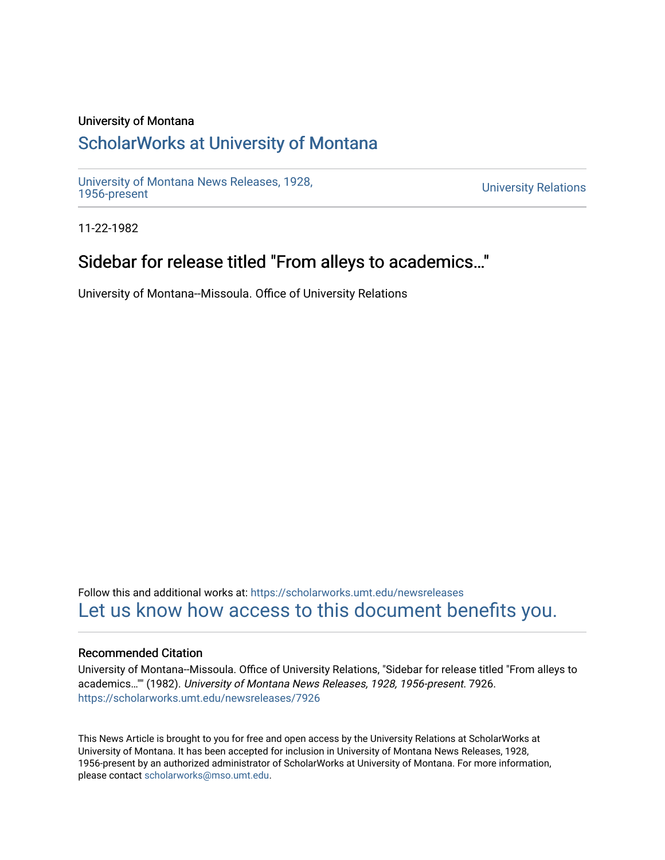#### University of Montana

# [ScholarWorks at University of Montana](https://scholarworks.umt.edu/)

[University of Montana News Releases, 1928,](https://scholarworks.umt.edu/newsreleases) 

**University Relations** 

11-22-1982

# Sidebar for release titled "From alleys to academics..."

University of Montana--Missoula. Office of University Relations

Follow this and additional works at: [https://scholarworks.umt.edu/newsreleases](https://scholarworks.umt.edu/newsreleases?utm_source=scholarworks.umt.edu%2Fnewsreleases%2F7926&utm_medium=PDF&utm_campaign=PDFCoverPages) [Let us know how access to this document benefits you.](https://goo.gl/forms/s2rGfXOLzz71qgsB2) 

#### Recommended Citation

University of Montana--Missoula. Office of University Relations, "Sidebar for release titled "From alleys to academics…"" (1982). University of Montana News Releases, 1928, 1956-present. 7926. [https://scholarworks.umt.edu/newsreleases/7926](https://scholarworks.umt.edu/newsreleases/7926?utm_source=scholarworks.umt.edu%2Fnewsreleases%2F7926&utm_medium=PDF&utm_campaign=PDFCoverPages) 

This News Article is brought to you for free and open access by the University Relations at ScholarWorks at University of Montana. It has been accepted for inclusion in University of Montana News Releases, 1928, 1956-present by an authorized administrator of ScholarWorks at University of Montana. For more information, please contact [scholarworks@mso.umt.edu.](mailto:scholarworks@mso.umt.edu)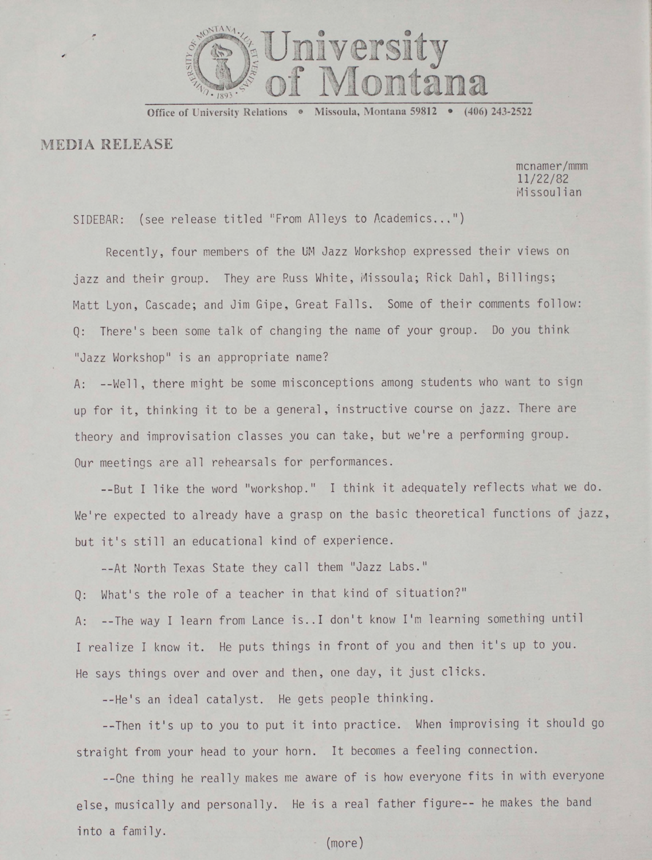

Office of University Relations <sup>®</sup> Missoula, Montana 59812 <sup>®</sup> (406) 243-2522

### MEDIA RELEASE

mcnamer/mmm 1 1 **/** 22/82 ssoulian

SIDEBAR: (see release titled "From Alleys to Academics..,")

Recently, four members of the UM Jazz Workshop expressed their views on jazz and their group. They are Russ White, Missoula; Rick Dahl, Billings; Matt Lyon, Cascade; and Jim Gipe, Great Falls. Some of their comments follow: Q: There's been some talk of changing the name of your group. Do you think "Jazz Workshop" is an appropriate name?

A: --Well, there might be some misconceptions among students who want to sign up for it, thinking it to be a general, instructive course on jazz. There are theory and improvisation classes you can take, but we're a performing group. Our meetings are all rehearsals for performances.

--But I like the word "workshop." I think it adequately reflects what we do. We're expected to already have a grasp on the basic theoretical functions of jazz, but it's still an educational kind of experience.

--At North Texas State they call them "Jazz Labs."

Q: What's the role of a teacher in that kind of situation?"

A: --The way I learn from Lance is.. I don't know I'm learning something until I realize I knew it. He puts things in front of you and then it's up to you. He says things over and over and then, one day, it just clicks.

--He's an ideal catalyst. He gets people thinking.

--Then it's up to you to put it into practice. When improvising it should go straight from your head to your horn. It becomes a feeling connection.

--One thing he really makes me aware of is how everyone fits in with everyone else, musically and personally. He is a real father figure-- he makes the band into a family.

(more)